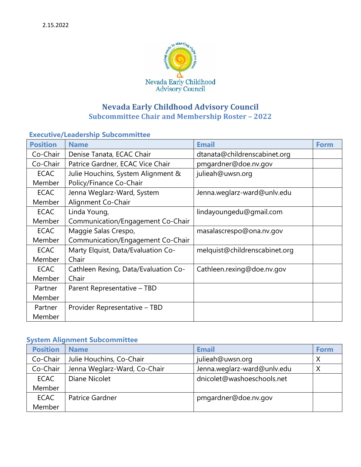

# **Nevada Early Childhood Advisory Council Subcommittee Chair and Membership Roster – 2022**

### **Executive/Leadership Subcommittee**

| <b>Position</b> | <b>Name</b>                          | <b>Email</b>                  | <b>Form</b> |
|-----------------|--------------------------------------|-------------------------------|-------------|
| Co-Chair        | Denise Tanata, ECAC Chair            | dtanata@childrenscabinet.org  |             |
| Co-Chair        | Patrice Gardner, ECAC Vice Chair     | pmgardner@doe.nv.gov          |             |
| <b>ECAC</b>     | Julie Houchins, System Alignment &   | julieah@uwsn.org              |             |
| Member          | Policy/Finance Co-Chair              |                               |             |
| <b>ECAC</b>     | Jenna Weglarz-Ward, System           | Jenna.weglarz-ward@unlv.edu   |             |
| Member          | Alignment Co-Chair                   |                               |             |
| <b>ECAC</b>     | Linda Young,                         | lindayoungedu@gmail.com       |             |
| Member          | Communication/Engagement Co-Chair    |                               |             |
| <b>ECAC</b>     | Maggie Salas Crespo,                 | masalascrespo@ona.nv.gov      |             |
| Member          | Communication/Engagement Co-Chair    |                               |             |
| <b>ECAC</b>     | Marty Elquist, Data/Evaluation Co-   | melquist@childrenscabinet.org |             |
| Member          | Chair                                |                               |             |
| <b>ECAC</b>     | Cathleen Rexing, Data/Evaluation Co- | Cathleen.rexing@doe.nv.gov    |             |
| Member          | Chair                                |                               |             |
| Partner         | Parent Representative - TBD          |                               |             |
| Member          |                                      |                               |             |
| Partner         | Provider Representative - TBD        |                               |             |
| Member          |                                      |                               |             |

#### **System Alignment Subcommittee**

| <b>Position</b> | <b>Name</b>                  | <b>Email</b>                | Form |
|-----------------|------------------------------|-----------------------------|------|
| Co-Chair        | Julie Houchins, Co-Chair     | julieah@uwsn.org            |      |
| Co-Chair        | Jenna Weglarz-Ward, Co-Chair | Jenna.weglarz-ward@unlv.edu |      |
| <b>ECAC</b>     | Diane Nicolet                | dnicolet@washoeschools.net  |      |
| Member          |                              |                             |      |
| <b>ECAC</b>     | Patrice Gardner              | pmgardner@doe.nv.gov        |      |
| Member          |                              |                             |      |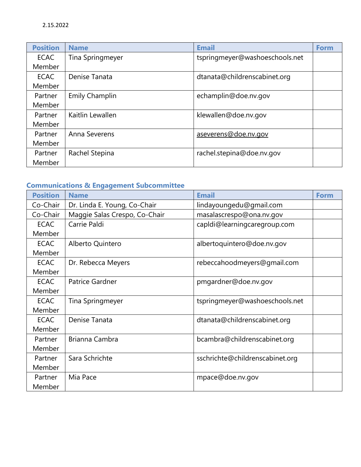| <b>Position</b> | <b>Name</b>           | <b>Email</b>                   | <b>Form</b> |
|-----------------|-----------------------|--------------------------------|-------------|
| <b>ECAC</b>     | Tina Springmeyer      | tspringmeyer@washoeschools.net |             |
| Member          |                       |                                |             |
| <b>ECAC</b>     | Denise Tanata         | dtanata@childrenscabinet.org   |             |
| Member          |                       |                                |             |
| Partner         | <b>Emily Champlin</b> | echamplin@doe.nv.gov           |             |
| Member          |                       |                                |             |
| Partner         | Kaitlin Lewallen      | klewallen@doe.nv.gov           |             |
| Member          |                       |                                |             |
| Partner         | Anna Severens         | aseverens@doe.nv.gov           |             |
| Member          |                       |                                |             |
| Partner         | Rachel Stepina        | rachel.stepina@doe.nv.gov      |             |
| Member          |                       |                                |             |

## **Communications & Engagement Subcommittee**

| <b>Position</b> | <b>Name</b>                   | <b>Email</b>                    | <b>Form</b> |
|-----------------|-------------------------------|---------------------------------|-------------|
| Co-Chair        | Dr. Linda E. Young, Co-Chair  | lindayoungedu@gmail.com         |             |
| Co-Chair        | Maggie Salas Crespo, Co-Chair | masalascrespo@ona.nv.gov        |             |
| <b>ECAC</b>     | Carrie Paldi                  | capIdi@learningcaregroup.com    |             |
| Member          |                               |                                 |             |
| <b>ECAC</b>     | Alberto Quintero              | albertoquintero@doe.nv.gov      |             |
| Member          |                               |                                 |             |
| <b>ECAC</b>     | Dr. Rebecca Meyers            | rebeccahoodmeyers@gmail.com     |             |
| Member          |                               |                                 |             |
| <b>ECAC</b>     | Patrice Gardner               | pmgardner@doe.nv.gov            |             |
| Member          |                               |                                 |             |
| <b>ECAC</b>     | Tina Springmeyer              | tspringmeyer@washoeschools.net  |             |
| Member          |                               |                                 |             |
| <b>ECAC</b>     | Denise Tanata                 | dtanata@childrenscabinet.org    |             |
| Member          |                               |                                 |             |
| Partner         | Brianna Cambra                | bcambra@childrenscabinet.org    |             |
| Member          |                               |                                 |             |
| Partner         | Sara Schrichte                | sschrichte@childrenscabinet.org |             |
| Member          |                               |                                 |             |
| Partner         | Mia Pace                      | mpace@doe.nv.gov                |             |
| Member          |                               |                                 |             |